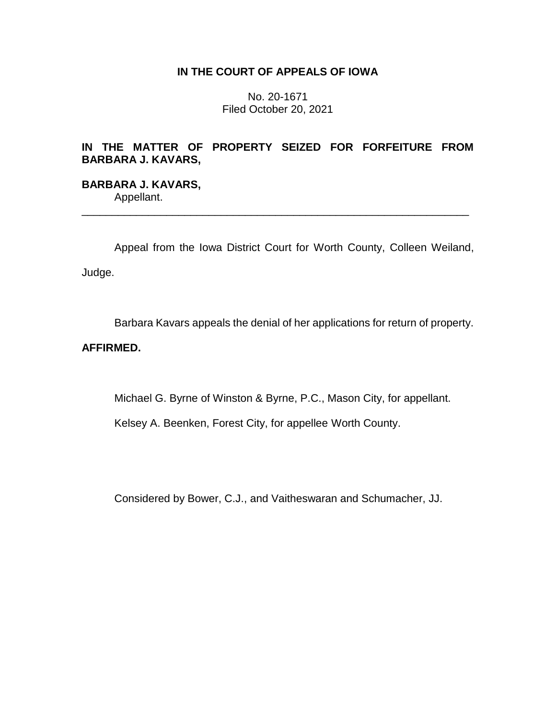## **IN THE COURT OF APPEALS OF IOWA**

No. 20-1671 Filed October 20, 2021

# **IN THE MATTER OF PROPERTY SEIZED FOR FORFEITURE FROM BARBARA J. KAVARS,**

## **BARBARA J. KAVARS,** Appellant.

\_\_\_\_\_\_\_\_\_\_\_\_\_\_\_\_\_\_\_\_\_\_\_\_\_\_\_\_\_\_\_\_\_\_\_\_\_\_\_\_\_\_\_\_\_\_\_\_\_\_\_\_\_\_\_\_\_\_\_\_\_\_\_\_

Appeal from the Iowa District Court for Worth County, Colleen Weiland, Judge.

Barbara Kavars appeals the denial of her applications for return of property.

## **AFFIRMED.**

Michael G. Byrne of Winston & Byrne, P.C., Mason City, for appellant.

Kelsey A. Beenken, Forest City, for appellee Worth County.

Considered by Bower, C.J., and Vaitheswaran and Schumacher, JJ.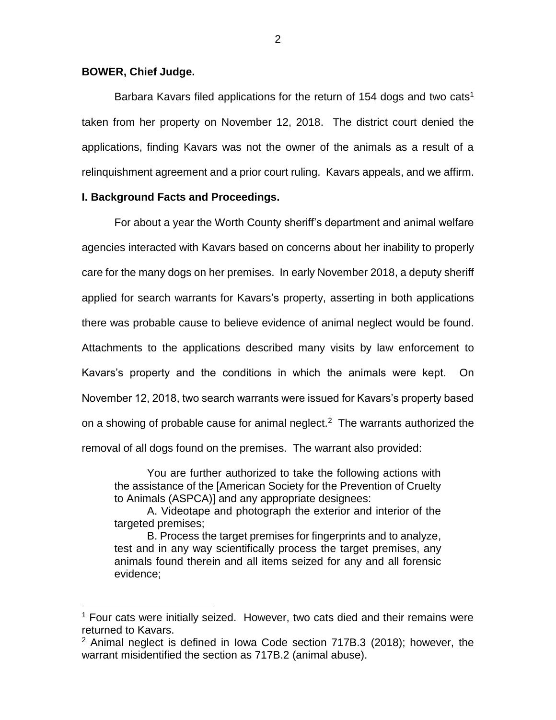### **BOWER, Chief Judge.**

 $\overline{a}$ 

Barbara Kavars filed applications for the return of 154 dogs and two cats<sup>1</sup> taken from her property on November 12, 2018. The district court denied the applications, finding Kavars was not the owner of the animals as a result of a relinquishment agreement and a prior court ruling. Kavars appeals, and we affirm.

### **I. Background Facts and Proceedings.**

For about a year the Worth County sheriff's department and animal welfare agencies interacted with Kavars based on concerns about her inability to properly care for the many dogs on her premises. In early November 2018, a deputy sheriff applied for search warrants for Kavars's property, asserting in both applications there was probable cause to believe evidence of animal neglect would be found. Attachments to the applications described many visits by law enforcement to Kavars's property and the conditions in which the animals were kept. On November 12, 2018, two search warrants were issued for Kavars's property based on a showing of probable cause for animal neglect.<sup>2</sup> The warrants authorized the removal of all dogs found on the premises. The warrant also provided:

You are further authorized to take the following actions with the assistance of the [American Society for the Prevention of Cruelty to Animals (ASPCA)] and any appropriate designees:

A. Videotape and photograph the exterior and interior of the targeted premises;

B. Process the target premises for fingerprints and to analyze, test and in any way scientifically process the target premises, any animals found therein and all items seized for any and all forensic evidence;

 $1$  Four cats were initially seized. However, two cats died and their remains were returned to Kavars.

 $2$  Animal neglect is defined in Iowa Code section 717B.3 (2018); however, the warrant misidentified the section as 717B.2 (animal abuse).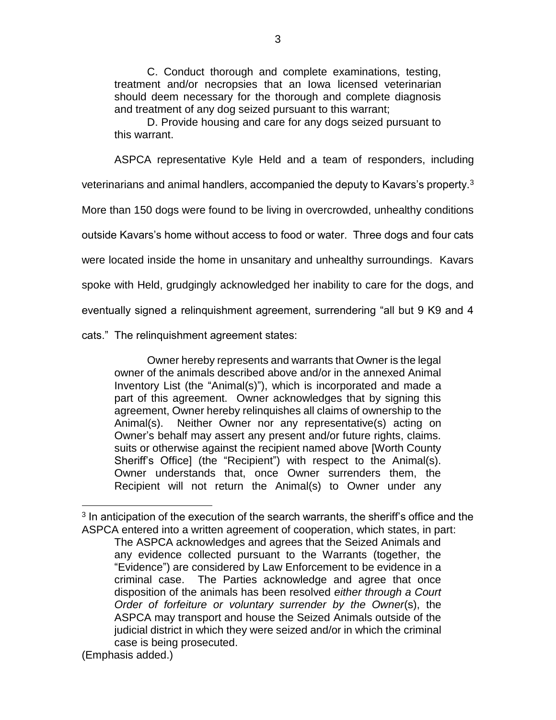C. Conduct thorough and complete examinations, testing, treatment and/or necropsies that an Iowa licensed veterinarian should deem necessary for the thorough and complete diagnosis and treatment of any dog seized pursuant to this warrant;

D. Provide housing and care for any dogs seized pursuant to this warrant.

ASPCA representative Kyle Held and a team of responders, including veterinarians and animal handlers, accompanied the deputy to Kavars's property.<sup>3</sup> More than 150 dogs were found to be living in overcrowded, unhealthy conditions outside Kavars's home without access to food or water. Three dogs and four cats were located inside the home in unsanitary and unhealthy surroundings. Kavars spoke with Held, grudgingly acknowledged her inability to care for the dogs, and eventually signed a relinquishment agreement, surrendering "all but 9 K9 and 4 cats." The relinquishment agreement states:

Owner hereby represents and warrants that Owner is the legal owner of the animals described above and/or in the annexed Animal Inventory List (the "Animal(s)"), which is incorporated and made a part of this agreement. Owner acknowledges that by signing this agreement, Owner hereby relinquishes all claims of ownership to the Animal(s). Neither Owner nor any representative(s) acting on Owner's behalf may assert any present and/or future rights, claims. suits or otherwise against the recipient named above [Worth County Sheriff's Office] (the "Recipient") with respect to the Animal(s). Owner understands that, once Owner surrenders them, the Recipient will not return the Animal(s) to Owner under any

 $\overline{a}$ 

 $3$  In anticipation of the execution of the search warrants, the sheriff's office and the ASPCA entered into a written agreement of cooperation, which states, in part:

The ASPCA acknowledges and agrees that the Seized Animals and any evidence collected pursuant to the Warrants (together, the "Evidence") are considered by Law Enforcement to be evidence in a criminal case. The Parties acknowledge and agree that once disposition of the animals has been resolved *either through a Court Order of forfeiture or voluntary surrender by the Owner*(s), the ASPCA may transport and house the Seized Animals outside of the judicial district in which they were seized and/or in which the criminal case is being prosecuted.

<sup>(</sup>Emphasis added.)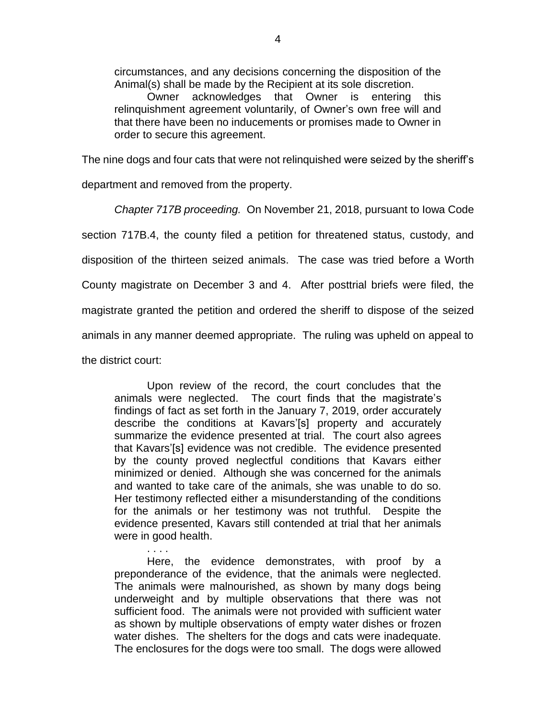circumstances, and any decisions concerning the disposition of the Animal(s) shall be made by the Recipient at its sole discretion.

Owner acknowledges that Owner is entering this relinquishment agreement voluntarily, of Owner's own free will and that there have been no inducements or promises made to Owner in order to secure this agreement.

The nine dogs and four cats that were not relinquished were seized by the sheriff's

department and removed from the property.

*Chapter 717B proceeding.* On November 21, 2018, pursuant to Iowa Code section 717B.4, the county filed a petition for threatened status, custody, and disposition of the thirteen seized animals. The case was tried before a Worth County magistrate on December 3 and 4. After posttrial briefs were filed, the magistrate granted the petition and ordered the sheriff to dispose of the seized animals in any manner deemed appropriate. The ruling was upheld on appeal to the district court:

Upon review of the record, the court concludes that the animals were neglected. The court finds that the magistrate's findings of fact as set forth in the January 7, 2019, order accurately describe the conditions at Kavars'[s] property and accurately summarize the evidence presented at trial. The court also agrees that Kavars'[s] evidence was not credible. The evidence presented by the county proved neglectful conditions that Kavars either minimized or denied. Although she was concerned for the animals and wanted to take care of the animals, she was unable to do so. Her testimony reflected either a misunderstanding of the conditions for the animals or her testimony was not truthful. Despite the evidence presented, Kavars still contended at trial that her animals were in good health.

Here, the evidence demonstrates, with proof by a preponderance of the evidence, that the animals were neglected. The animals were malnourished, as shown by many dogs being underweight and by multiple observations that there was not sufficient food. The animals were not provided with sufficient water as shown by multiple observations of empty water dishes or frozen water dishes. The shelters for the dogs and cats were inadequate. The enclosures for the dogs were too small. The dogs were allowed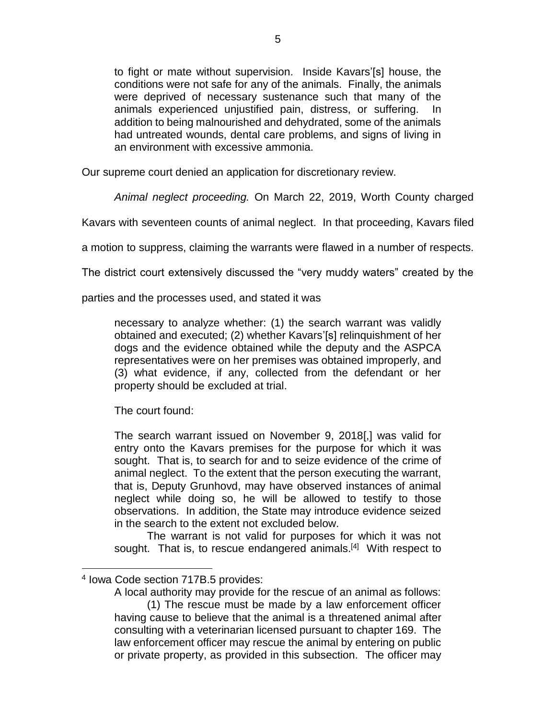to fight or mate without supervision. Inside Kavars'[s] house, the conditions were not safe for any of the animals. Finally, the animals were deprived of necessary sustenance such that many of the animals experienced unjustified pain, distress, or suffering. addition to being malnourished and dehydrated, some of the animals had untreated wounds, dental care problems, and signs of living in an environment with excessive ammonia.

Our supreme court denied an application for discretionary review.

*Animal neglect proceeding.* On March 22, 2019, Worth County charged

Kavars with seventeen counts of animal neglect. In that proceeding, Kavars filed

a motion to suppress, claiming the warrants were flawed in a number of respects.

The district court extensively discussed the "very muddy waters" created by the

parties and the processes used, and stated it was

necessary to analyze whether: (1) the search warrant was validly obtained and executed; (2) whether Kavars'[s] relinquishment of her dogs and the evidence obtained while the deputy and the ASPCA representatives were on her premises was obtained improperly, and (3) what evidence, if any, collected from the defendant or her property should be excluded at trial.

The court found:

The search warrant issued on November 9, 2018[,] was valid for entry onto the Kavars premises for the purpose for which it was sought. That is, to search for and to seize evidence of the crime of animal neglect. To the extent that the person executing the warrant, that is, Deputy Grunhovd, may have observed instances of animal neglect while doing so, he will be allowed to testify to those observations. In addition, the State may introduce evidence seized in the search to the extent not excluded below.

The warrant is not valid for purposes for which it was not sought. That is, to rescue endangered animals.<sup>[4]</sup> With respect to

 $\overline{a}$ 

A local authority may provide for the rescue of an animal as follows:

<sup>4</sup> Iowa Code section 717B.5 provides:

<sup>(1)</sup> The rescue must be made by a law enforcement officer having cause to believe that the animal is a threatened animal after consulting with a veterinarian licensed pursuant to chapter 169. The law enforcement officer may rescue the animal by entering on public or private property, as provided in this subsection. The officer may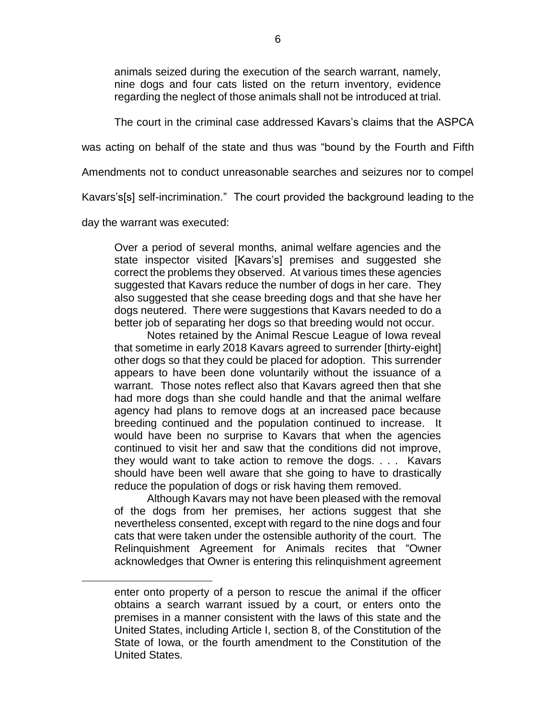animals seized during the execution of the search warrant, namely, nine dogs and four cats listed on the return inventory, evidence regarding the neglect of those animals shall not be introduced at trial.

The court in the criminal case addressed Kavars's claims that the ASPCA

was acting on behalf of the state and thus was "bound by the Fourth and Fifth

Amendments not to conduct unreasonable searches and seizures nor to compel

Kavars's[s] self-incrimination." The court provided the background leading to the

day the warrant was executed:

 $\overline{a}$ 

Over a period of several months, animal welfare agencies and the state inspector visited [Kavars's] premises and suggested she correct the problems they observed. At various times these agencies suggested that Kavars reduce the number of dogs in her care. They also suggested that she cease breeding dogs and that she have her dogs neutered. There were suggestions that Kavars needed to do a better job of separating her dogs so that breeding would not occur.

Notes retained by the Animal Rescue League of Iowa reveal that sometime in early 2018 Kavars agreed to surrender [thirty-eight] other dogs so that they could be placed for adoption. This surrender appears to have been done voluntarily without the issuance of a warrant. Those notes reflect also that Kavars agreed then that she had more dogs than she could handle and that the animal welfare agency had plans to remove dogs at an increased pace because breeding continued and the population continued to increase. It would have been no surprise to Kavars that when the agencies continued to visit her and saw that the conditions did not improve, they would want to take action to remove the dogs. . . . Kavars should have been well aware that she going to have to drastically reduce the population of dogs or risk having them removed.

Although Kavars may not have been pleased with the removal of the dogs from her premises, her actions suggest that she nevertheless consented, except with regard to the nine dogs and four cats that were taken under the ostensible authority of the court. The Relinquishment Agreement for Animals recites that "Owner acknowledges that Owner is entering this relinquishment agreement

enter onto property of a person to rescue the animal if the officer obtains a search warrant issued by a court, or enters onto the premises in a manner consistent with the laws of this state and the United States, including Article I, section 8, of the Constitution of the State of Iowa, or the fourth amendment to the Constitution of the United States.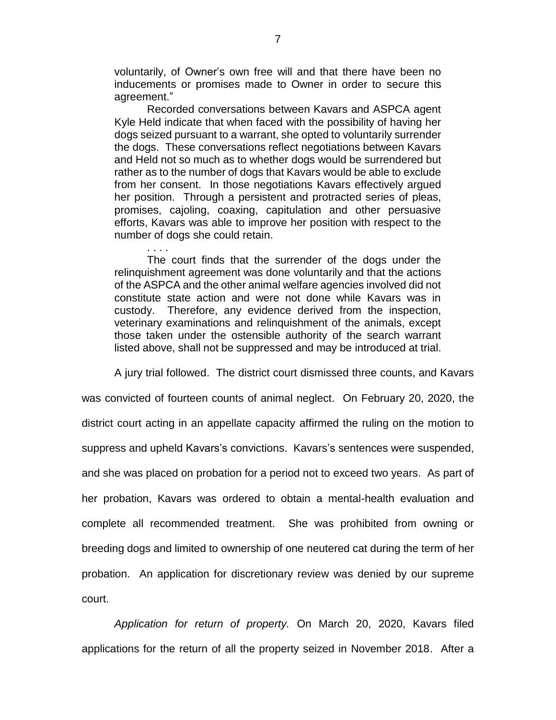voluntarily, of Owner's own free will and that there have been no inducements or promises made to Owner in order to secure this agreement."

Recorded conversations between Kavars and ASPCA agent Kyle Held indicate that when faced with the possibility of having her dogs seized pursuant to a warrant, she opted to voluntarily surrender the dogs. These conversations reflect negotiations between Kavars and Held not so much as to whether dogs would be surrendered but rather as to the number of dogs that Kavars would be able to exclude from her consent. In those negotiations Kavars effectively argued her position. Through a persistent and protracted series of pleas, promises, cajoling, coaxing, capitulation and other persuasive efforts, Kavars was able to improve her position with respect to the number of dogs she could retain.

The court finds that the surrender of the dogs under the relinquishment agreement was done voluntarily and that the actions of the ASPCA and the other animal welfare agencies involved did not constitute state action and were not done while Kavars was in custody. Therefore, any evidence derived from the inspection, veterinary examinations and relinquishment of the animals, except those taken under the ostensible authority of the search warrant listed above, shall not be suppressed and may be introduced at trial.

A jury trial followed. The district court dismissed three counts, and Kavars

was convicted of fourteen counts of animal neglect. On February 20, 2020, the district court acting in an appellate capacity affirmed the ruling on the motion to suppress and upheld Kavars's convictions. Kavars's sentences were suspended, and she was placed on probation for a period not to exceed two years. As part of her probation, Kavars was ordered to obtain a mental-health evaluation and complete all recommended treatment. She was prohibited from owning or breeding dogs and limited to ownership of one neutered cat during the term of her probation. An application for discretionary review was denied by our supreme court.

*Application for return of property.* On March 20, 2020, Kavars filed applications for the return of all the property seized in November 2018. After a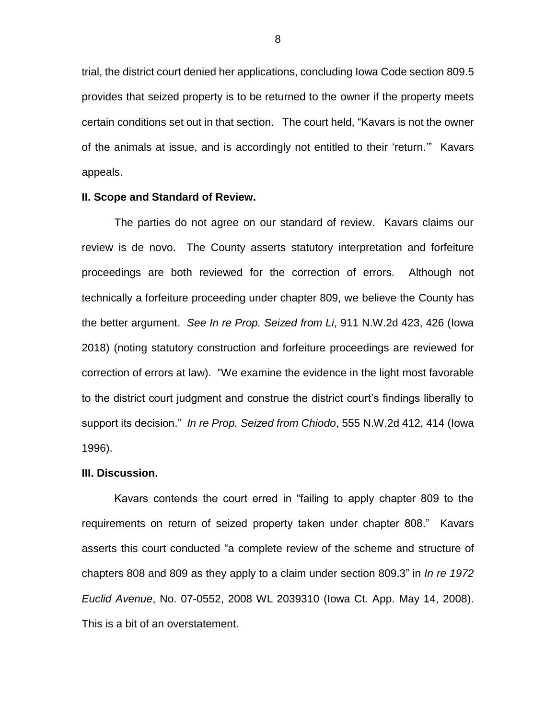trial, the district court denied her applications, concluding Iowa Code section 809.5 provides that seized property is to be returned to the owner if the property meets certain conditions set out in that section. The court held, "Kavars is not the owner of the animals at issue, and is accordingly not entitled to their 'return.'" Kavars appeals.

### **II. Scope and Standard of Review.**

The parties do not agree on our standard of review. Kavars claims our review is de novo. The County asserts statutory interpretation and forfeiture proceedings are both reviewed for the correction of errors. Although not technically a forfeiture proceeding under chapter 809, we believe the County has the better argument. *See In re Prop. Seized from Li*, 911 N.W.2d 423, 426 (Iowa 2018) (noting statutory construction and forfeiture proceedings are reviewed for correction of errors at law). "We examine the evidence in the light most favorable to the district court judgment and construe the district court's findings liberally to support its decision." *In re Prop. Seized from Chiodo*, 555 N.W.2d 412, 414 (Iowa 1996).

#### **III. Discussion.**

Kavars contends the court erred in "failing to apply chapter 809 to the requirements on return of seized property taken under chapter 808." Kavars asserts this court conducted "a complete review of the scheme and structure of chapters 808 and 809 as they apply to a claim under section 809.3" in *In re 1972 Euclid Avenue*, No. 07-0552, 2008 WL 2039310 (Iowa Ct. App. May 14, 2008). This is a bit of an overstatement.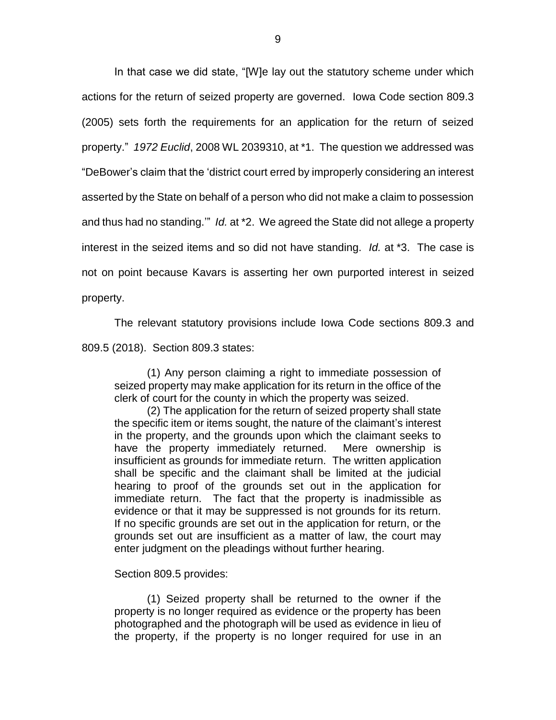In that case we did state, "[W]e lay out the statutory scheme under which actions for the return of seized property are governed. Iowa Code section 809.3 (2005) sets forth the requirements for an application for the return of seized property." *1972 Euclid*, 2008 WL 2039310, at \*1. The question we addressed was "DeBower's claim that the 'district court erred by improperly considering an interest asserted by the State on behalf of a person who did not make a claim to possession and thus had no standing.'" *Id.* at \*2. We agreed the State did not allege a property interest in the seized items and so did not have standing. *Id.* at \*3. The case is not on point because Kavars is asserting her own purported interest in seized property.

The relevant statutory provisions include Iowa Code sections 809.3 and

809.5 (2018). Section 809.3 states:

(1) Any person claiming a right to immediate possession of seized property may make application for its return in the office of the clerk of court for the county in which the property was seized.

(2) The application for the return of seized property shall state the specific item or items sought, the nature of the claimant's interest in the property, and the grounds upon which the claimant seeks to have the property immediately returned. Mere ownership is insufficient as grounds for immediate return. The written application shall be specific and the claimant shall be limited at the judicial hearing to proof of the grounds set out in the application for immediate return. The fact that the property is inadmissible as evidence or that it may be suppressed is not grounds for its return. If no specific grounds are set out in the application for return, or the grounds set out are insufficient as a matter of law, the court may enter judgment on the pleadings without further hearing.

Section 809.5 provides:

(1) Seized property shall be returned to the owner if the property is no longer required as evidence or the property has been photographed and the photograph will be used as evidence in lieu of the property, if the property is no longer required for use in an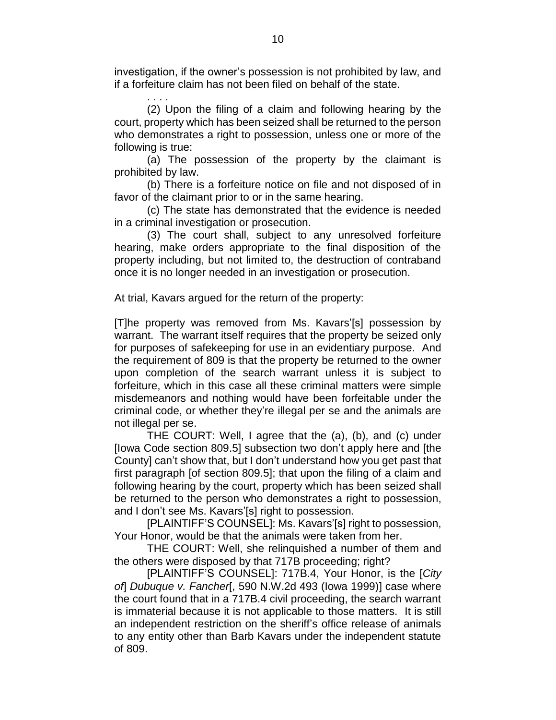investigation, if the owner's possession is not prohibited by law, and if a forfeiture claim has not been filed on behalf of the state.

. . . . (2) Upon the filing of a claim and following hearing by the court, property which has been seized shall be returned to the person who demonstrates a right to possession, unless one or more of the following is true:

(a) The possession of the property by the claimant is prohibited by law.

(b) There is a forfeiture notice on file and not disposed of in favor of the claimant prior to or in the same hearing.

(c) The state has demonstrated that the evidence is needed in a criminal investigation or prosecution.

(3) The court shall, subject to any unresolved forfeiture hearing, make orders appropriate to the final disposition of the property including, but not limited to, the destruction of contraband once it is no longer needed in an investigation or prosecution.

At trial, Kavars argued for the return of the property:

[T]he property was removed from Ms. Kavars'[s] possession by warrant. The warrant itself requires that the property be seized only for purposes of safekeeping for use in an evidentiary purpose. And the requirement of 809 is that the property be returned to the owner upon completion of the search warrant unless it is subject to forfeiture, which in this case all these criminal matters were simple misdemeanors and nothing would have been forfeitable under the criminal code, or whether they're illegal per se and the animals are not illegal per se.

THE COURT: Well, I agree that the (a), (b), and (c) under [Iowa Code section 809.5] subsection two don't apply here and [the County] can't show that, but I don't understand how you get past that first paragraph [of section 809.5]; that upon the filing of a claim and following hearing by the court, property which has been seized shall be returned to the person who demonstrates a right to possession, and I don't see Ms. Kavars'[s] right to possession.

[PLAINTIFF'S COUNSEL]: Ms. Kavars'[s] right to possession, Your Honor, would be that the animals were taken from her.

THE COURT: Well, she relinquished a number of them and the others were disposed by that 717B proceeding; right?

[PLAINTIFF'S COUNSEL]: 717B.4, Your Honor, is the [*City of*] *Dubuque v. Fancher*[, 590 N.W.2d 493 (Iowa 1999)] case where the court found that in a 717B.4 civil proceeding, the search warrant is immaterial because it is not applicable to those matters. It is still an independent restriction on the sheriff's office release of animals to any entity other than Barb Kavars under the independent statute of 809.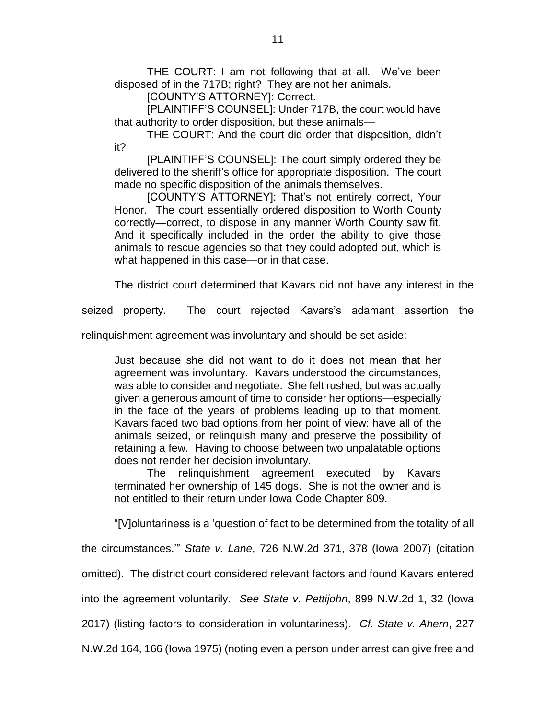THE COURT: I am not following that at all. We've been disposed of in the 717B; right? They are not her animals.

[COUNTY'S ATTORNEY]: Correct.

[PLAINTIFF'S COUNSEL]: Under 717B, the court would have that authority to order disposition, but these animals—

THE COURT: And the court did order that disposition, didn't it?

[PLAINTIFF'S COUNSEL]: The court simply ordered they be delivered to the sheriff's office for appropriate disposition. The court made no specific disposition of the animals themselves.

[COUNTY'S ATTORNEY]: That's not entirely correct, Your Honor. The court essentially ordered disposition to Worth County correctly—correct, to dispose in any manner Worth County saw fit. And it specifically included in the order the ability to give those animals to rescue agencies so that they could adopted out, which is what happened in this case—or in that case.

The district court determined that Kavars did not have any interest in the

seized property. The court rejected Kavars's adamant assertion the

relinquishment agreement was involuntary and should be set aside:

Just because she did not want to do it does not mean that her agreement was involuntary. Kavars understood the circumstances, was able to consider and negotiate. She felt rushed, but was actually given a generous amount of time to consider her options—especially in the face of the years of problems leading up to that moment. Kavars faced two bad options from her point of view: have all of the animals seized, or relinquish many and preserve the possibility of retaining a few. Having to choose between two unpalatable options does not render her decision involuntary.

The relinquishment agreement executed by Kavars terminated her ownership of 145 dogs. She is not the owner and is not entitled to their return under Iowa Code Chapter 809.

"[V]oluntariness is a 'question of fact to be determined from the totality of all

the circumstances.'" *State v. Lane*, 726 N.W.2d 371, 378 (Iowa 2007) (citation

omitted). The district court considered relevant factors and found Kavars entered

into the agreement voluntarily. *See State v. Pettijohn*, 899 N.W.2d 1, 32 (Iowa

2017) (listing factors to consideration in voluntariness). *Cf. State v. Ahern*, 227

N.W.2d 164, 166 (Iowa 1975) (noting even a person under arrest can give free and